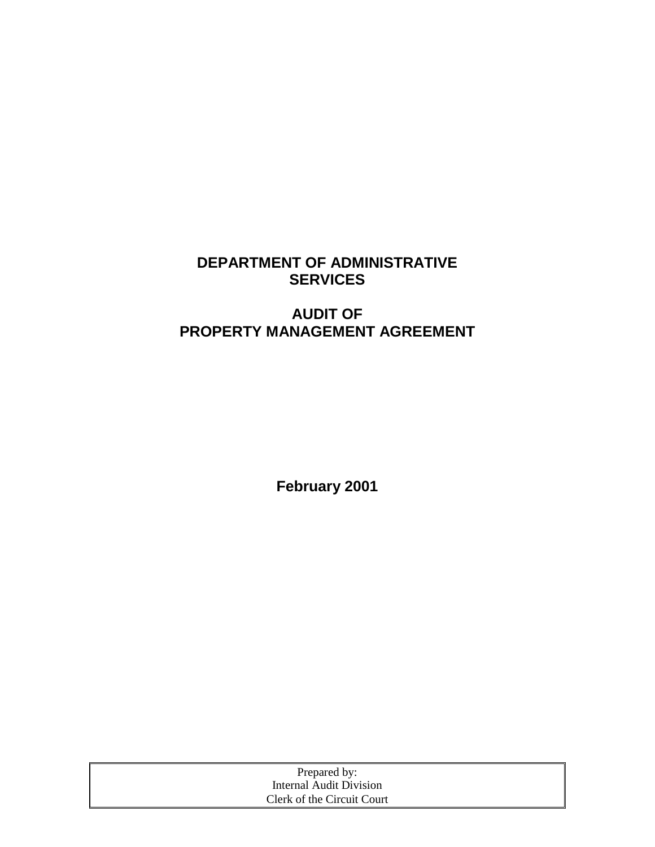# **DEPARTMENT OF ADMINISTRATIVE SERVICES**

# **AUDIT OF PROPERTY MANAGEMENT AGREEMENT**

**February 2001**

| Prepared by:               |  |
|----------------------------|--|
| Internal Audit Division    |  |
| Clerk of the Circuit Court |  |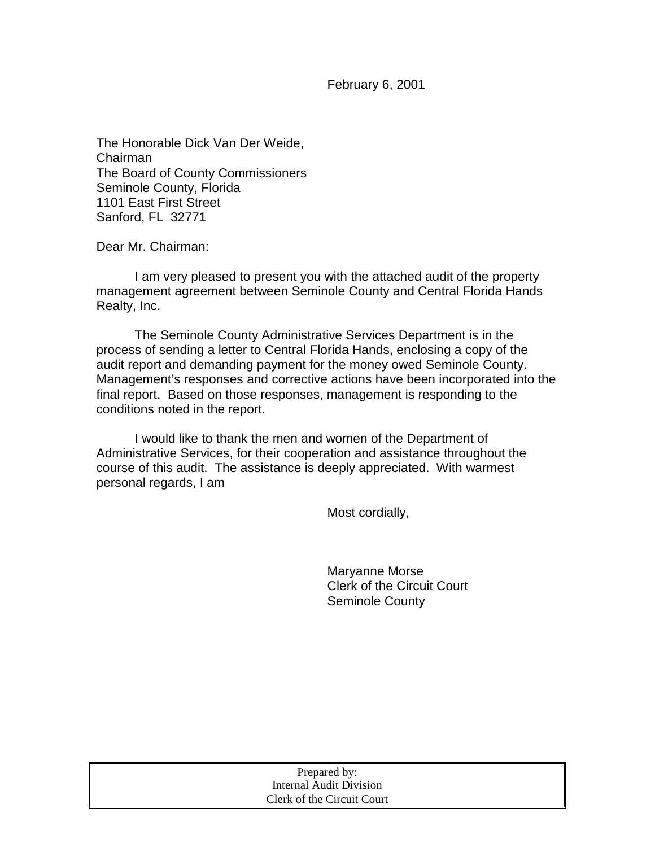February 6, 2001

The Honorable Dick Van Der Weide, Chairman The Board of County Commissioners Seminole County, Florida 1101 East First Street Sanford, FL 32771

Dear Mr. Chairman:

 I am very pleased to present you with the attached audit of the property management agreement between Seminole County and Central Florida Hands Realty, Inc.

 The Seminole County Administrative Services Department is in the process of sending a letter to Central Florida Hands, enclosing a copy of the audit report and demanding payment for the money owed Seminole County. Management's responses and corrective actions have been incorporated into the final report. Based on those responses, management is responding to the conditions noted in the report.

I would like to thank the men and women of the Department of Administrative Services, for their cooperation and assistance throughout the course of this audit. The assistance is deeply appreciated. With warmest personal regards, I am

Most cordially,

Maryanne Morse Clerk of the Circuit Court Seminole County

| Prepared by:               |  |
|----------------------------|--|
| Internal Audit Division    |  |
| Clerk of the Circuit Court |  |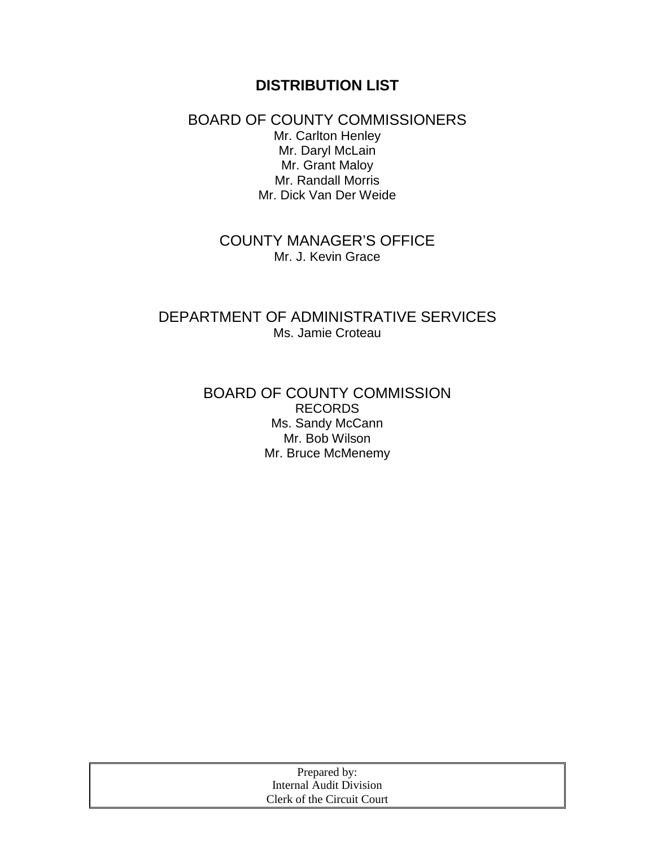# **DISTRIBUTION LIST**

#### BOARD OF COUNTY COMMISSIONERS Mr. Carlton Henley Mr. Daryl McLain Mr. Grant Maloy Mr. Randall Morris Mr. Dick Van Der Weide

## COUNTY MANAGER'S OFFICE Mr. J. Kevin Grace

## DEPARTMENT OF ADMINISTRATIVE SERVICES Ms. Jamie Croteau

## BOARD OF COUNTY COMMISSION RECORDS Ms. Sandy McCann Mr. Bob Wilson Mr. Bruce McMenemy

| Prepared by:               |
|----------------------------|
| Internal Audit Division    |
| Clerk of the Circuit Court |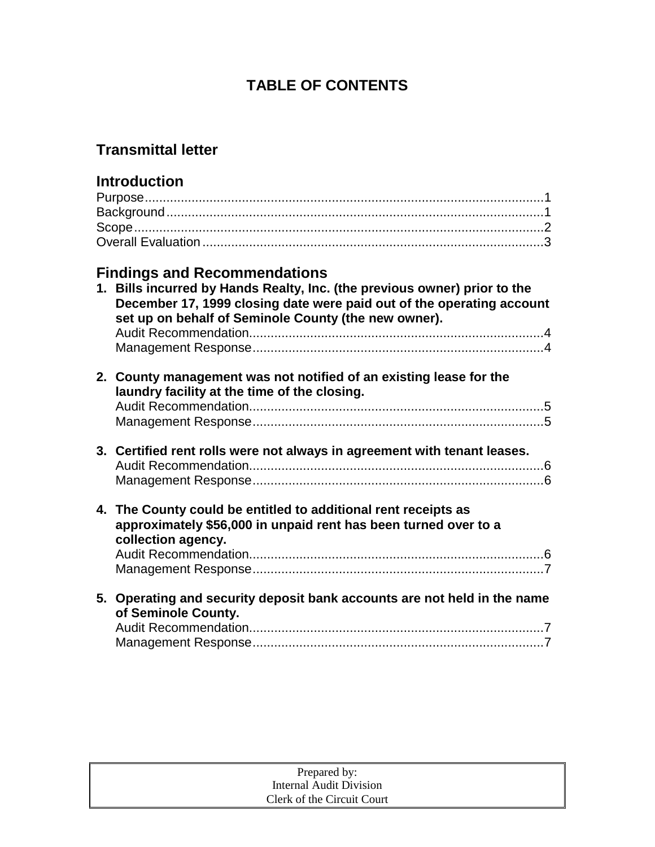# **TABLE OF CONTENTS**

# **Transmittal letter**

| <b>Introduction</b>                                                                                                                                                                                        |
|------------------------------------------------------------------------------------------------------------------------------------------------------------------------------------------------------------|
|                                                                                                                                                                                                            |
|                                                                                                                                                                                                            |
|                                                                                                                                                                                                            |
|                                                                                                                                                                                                            |
| <b>Findings and Recommendations</b>                                                                                                                                                                        |
| 1. Bills incurred by Hands Realty, Inc. (the previous owner) prior to the<br>December 17, 1999 closing date were paid out of the operating account<br>set up on behalf of Seminole County (the new owner). |
|                                                                                                                                                                                                            |
| 2. County management was not notified of an existing lease for the<br>laundry facility at the time of the closing.                                                                                         |
|                                                                                                                                                                                                            |
| 3. Certified rent rolls were not always in agreement with tenant leases.                                                                                                                                   |
|                                                                                                                                                                                                            |
| 4. The County could be entitled to additional rent receipts as<br>approximately \$56,000 in unpaid rent has been turned over to a                                                                          |
| collection agency.                                                                                                                                                                                         |
|                                                                                                                                                                                                            |
|                                                                                                                                                                                                            |
| 5. Operating and security deposit bank accounts are not held in the name<br>of Seminole County.                                                                                                            |
|                                                                                                                                                                                                            |
|                                                                                                                                                                                                            |

| Prepared by:               |  |
|----------------------------|--|
| Internal Audit Division    |  |
| Clerk of the Circuit Court |  |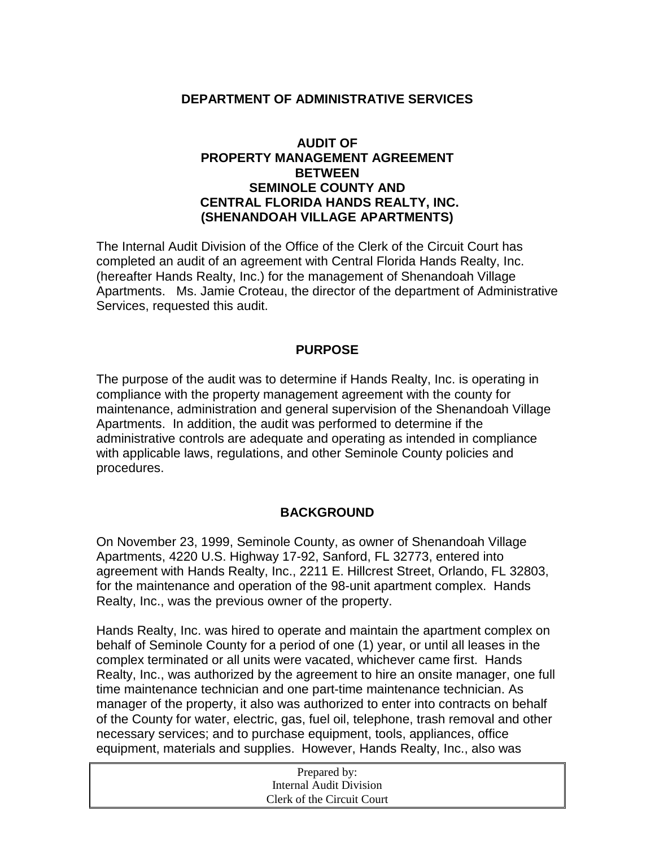#### **DEPARTMENT OF ADMINISTRATIVE SERVICES**

#### **AUDIT OF PROPERTY MANAGEMENT AGREEMENT BETWEEN SEMINOLE COUNTY AND CENTRAL FLORIDA HANDS REALTY, INC. (SHENANDOAH VILLAGE APARTMENTS)**

The Internal Audit Division of the Office of the Clerk of the Circuit Court has completed an audit of an agreement with Central Florida Hands Realty, Inc. (hereafter Hands Realty, Inc.) for the management of Shenandoah Village Apartments. Ms. Jamie Croteau, the director of the department of Administrative Services, requested this audit.

#### **PURPOSE**

The purpose of the audit was to determine if Hands Realty, Inc. is operating in compliance with the property management agreement with the county for maintenance, administration and general supervision of the Shenandoah Village Apartments. In addition, the audit was performed to determine if the administrative controls are adequate and operating as intended in compliance with applicable laws, regulations, and other Seminole County policies and procedures.

#### **BACKGROUND**

On November 23, 1999, Seminole County, as owner of Shenandoah Village Apartments, 4220 U.S. Highway 17-92, Sanford, FL 32773, entered into agreement with Hands Realty, Inc., 2211 E. Hillcrest Street, Orlando, FL 32803, for the maintenance and operation of the 98-unit apartment complex. Hands Realty, Inc., was the previous owner of the property.

Hands Realty, Inc. was hired to operate and maintain the apartment complex on behalf of Seminole County for a period of one (1) year, or until all leases in the complex terminated or all units were vacated, whichever came first. Hands Realty, Inc., was authorized by the agreement to hire an onsite manager, one full time maintenance technician and one part-time maintenance technician. As manager of the property, it also was authorized to enter into contracts on behalf of the County for water, electric, gas, fuel oil, telephone, trash removal and other necessary services; and to purchase equipment, tools, appliances, office equipment, materials and supplies. However, Hands Realty, Inc., also was

| Prepared by:               |  |
|----------------------------|--|
| Internal Audit Division    |  |
| Clerk of the Circuit Court |  |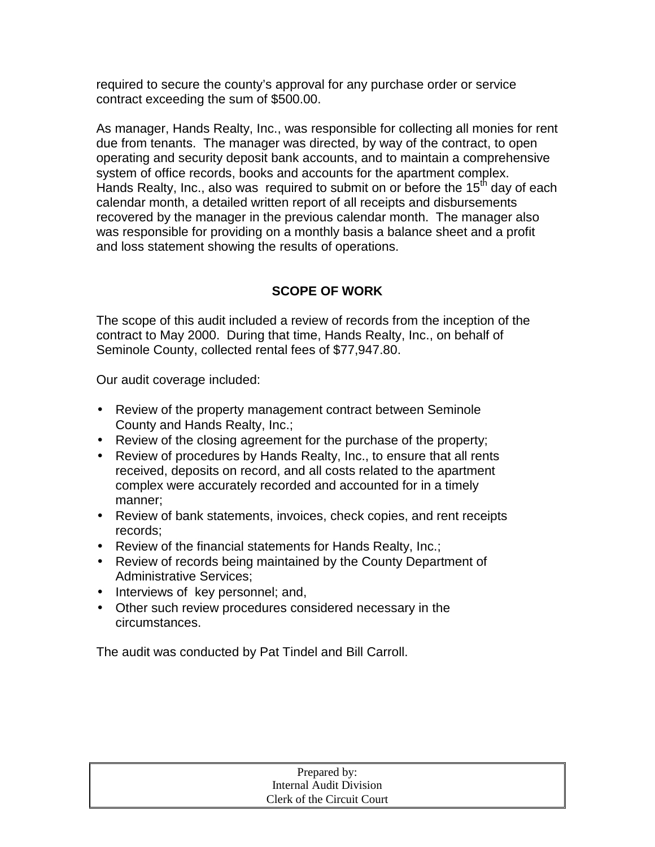required to secure the county's approval for any purchase order or service contract exceeding the sum of \$500.00.

As manager, Hands Realty, Inc., was responsible for collecting all monies for rent due from tenants. The manager was directed, by way of the contract, to open operating and security deposit bank accounts, and to maintain a comprehensive system of office records, books and accounts for the apartment complex. Hands Realty, Inc., also was required to submit on or before the 15<sup>th</sup> day of each calendar month, a detailed written report of all receipts and disbursements recovered by the manager in the previous calendar month. The manager also was responsible for providing on a monthly basis a balance sheet and a profit and loss statement showing the results of operations.

## **SCOPE OF WORK**

The scope of this audit included a review of records from the inception of the contract to May 2000. During that time, Hands Realty, Inc., on behalf of Seminole County, collected rental fees of \$77,947.80.

Our audit coverage included:

- Review of the property management contract between Seminole County and Hands Realty, Inc.;
- Review of the closing agreement for the purchase of the property;
- Review of procedures by Hands Realty, Inc., to ensure that all rents received, deposits on record, and all costs related to the apartment complex were accurately recorded and accounted for in a timely manner;
- Review of bank statements, invoices, check copies, and rent receipts records;
- Review of the financial statements for Hands Realty, Inc.;
- Review of records being maintained by the County Department of Administrative Services;
- Interviews of key personnel; and,
- Other such review procedures considered necessary in the circumstances.

The audit was conducted by Pat Tindel and Bill Carroll.

| Prepared by:               |  |
|----------------------------|--|
| Internal Audit Division    |  |
| Clerk of the Circuit Court |  |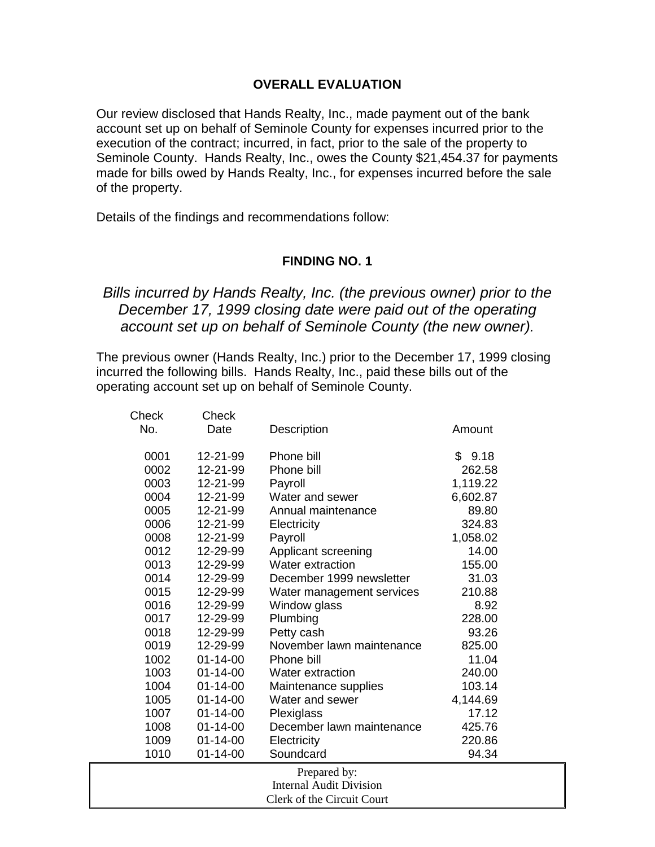#### **OVERALL EVALUATION**

Our review disclosed that Hands Realty, Inc., made payment out of the bank account set up on behalf of Seminole County for expenses incurred prior to the execution of the contract; incurred, in fact, prior to the sale of the property to Seminole County. Hands Realty, Inc., owes the County \$21,454.37 for payments made for bills owed by Hands Realty, Inc., for expenses incurred before the sale of the property.

Details of the findings and recommendations follow:

#### **FINDING NO. 1**

## *Bills incurred by Hands Realty, Inc. (the previous owner) prior to the December 17, 1999 closing date were paid out of the operating account set up on behalf of Seminole County (the new owner).*

The previous owner (Hands Realty, Inc.) prior to the December 17, 1999 closing incurred the following bills. Hands Realty, Inc., paid these bills out of the operating account set up on behalf of Seminole County.

| Check | Check          |                                |          |
|-------|----------------|--------------------------------|----------|
| No.   | Date           | Description                    | Amount   |
|       |                |                                |          |
| 0001  | 12-21-99       | Phone bill                     | \$9.18   |
| 0002  | 12-21-99       | Phone bill                     | 262.58   |
| 0003  | 12-21-99       | Payroll                        | 1,119.22 |
| 0004  | 12-21-99       | Water and sewer                | 6,602.87 |
| 0005  | 12-21-99       | Annual maintenance             | 89.80    |
| 0006  | 12-21-99       | Electricity                    | 324.83   |
| 0008  | 12-21-99       | Payroll                        | 1,058.02 |
| 0012  | 12-29-99       | Applicant screening            | 14.00    |
| 0013  | 12-29-99       | <b>Water extraction</b>        | 155.00   |
| 0014  | 12-29-99       | December 1999 newsletter       | 31.03    |
| 0015  | 12-29-99       | Water management services      | 210.88   |
| 0016  | 12-29-99       | Window glass                   | 8.92     |
| 0017  | 12-29-99       | Plumbing                       | 228.00   |
| 0018  | 12-29-99       | Petty cash                     | 93.26    |
| 0019  | 12-29-99       | November lawn maintenance      | 825.00   |
| 1002  | $01 - 14 - 00$ | Phone bill                     | 11.04    |
| 1003  | $01 - 14 - 00$ | <b>Water extraction</b>        | 240.00   |
| 1004  | $01 - 14 - 00$ | Maintenance supplies           | 103.14   |
| 1005  | $01 - 14 - 00$ | Water and sewer                | 4,144.69 |
| 1007  | $01 - 14 - 00$ | Plexiglass                     | 17.12    |
| 1008  | $01 - 14 - 00$ | December lawn maintenance      | 425.76   |
| 1009  | $01 - 14 - 00$ | Electricity                    | 220.86   |
| 1010  | $01 - 14 - 00$ | Soundcard                      | 94.34    |
|       |                | Prepared by:                   |          |
|       |                | <b>Internal Audit Division</b> |          |
|       |                | Clerk of the Circuit Court     |          |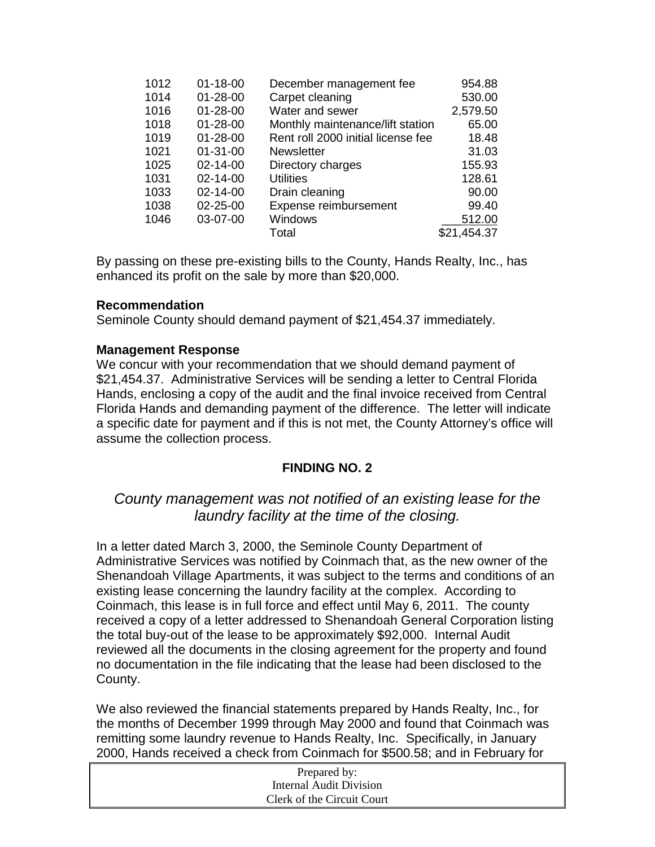|                |                                                                                                        | 954.88                  |
|----------------|--------------------------------------------------------------------------------------------------------|-------------------------|
| $01 - 28 - 00$ | Carpet cleaning                                                                                        | 530.00                  |
| $01 - 28 - 00$ | Water and sewer                                                                                        | 2,579.50                |
| $01 - 28 - 00$ | Monthly maintenance/lift station                                                                       | 65.00                   |
| $01 - 28 - 00$ | Rent roll 2000 initial license fee                                                                     | 18.48                   |
| $01 - 31 - 00$ | <b>Newsletter</b>                                                                                      | 31.03                   |
| 02-14-00       | Directory charges                                                                                      | 155.93                  |
| $02 - 14 - 00$ | <b>Utilities</b>                                                                                       | 128.61                  |
| 02-14-00       | Drain cleaning                                                                                         | 90.00                   |
| 02-25-00       | Expense reimbursement                                                                                  | 99.40                   |
| 03-07-00       | Windows                                                                                                | 512.00                  |
|                | Total                                                                                                  | \$21,454.37             |
|                | 1012<br>$01 - 18 - 00$<br>1014<br>1016<br>1018<br>1019<br>1021<br>1025<br>1031<br>1033<br>1038<br>1046 | December management fee |

By passing on these pre-existing bills to the County, Hands Realty, Inc., has enhanced its profit on the sale by more than \$20,000.

#### **Recommendation**

Seminole County should demand payment of \$21,454.37 immediately.

#### **Management Response**

We concur with your recommendation that we should demand payment of \$21,454.37. Administrative Services will be sending a letter to Central Florida Hands, enclosing a copy of the audit and the final invoice received from Central Florida Hands and demanding payment of the difference. The letter will indicate a specific date for payment and if this is not met, the County Attorney's office will assume the collection process.

#### **FINDING NO. 2**

## *County management was not notified of an existing lease for the laundry facility at the time of the closing.*

In a letter dated March 3, 2000, the Seminole County Department of Administrative Services was notified by Coinmach that, as the new owner of the Shenandoah Village Apartments, it was subject to the terms and conditions of an existing lease concerning the laundry facility at the complex. According to Coinmach, this lease is in full force and effect until May 6, 2011. The county received a copy of a letter addressed to Shenandoah General Corporation listing the total buy-out of the lease to be approximately \$92,000. Internal Audit reviewed all the documents in the closing agreement for the property and found no documentation in the file indicating that the lease had been disclosed to the County.

We also reviewed the financial statements prepared by Hands Realty, Inc., for the months of December 1999 through May 2000 and found that Coinmach was remitting some laundry revenue to Hands Realty, Inc. Specifically, in January 2000, Hands received a check from Coinmach for \$500.58; and in February for

| Prepared by:               |  |
|----------------------------|--|
| Internal Audit Division    |  |
| Clerk of the Circuit Court |  |
|                            |  |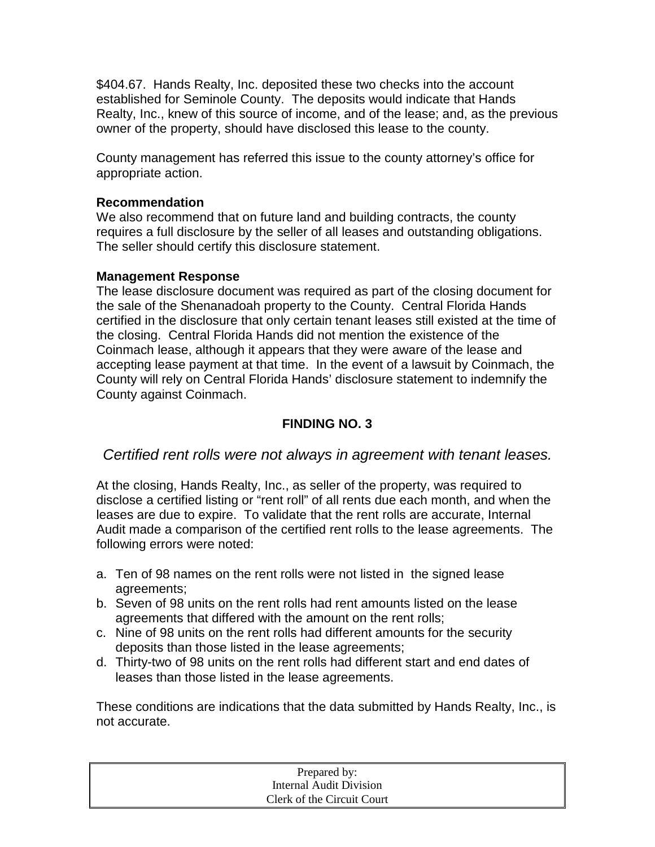\$404.67. Hands Realty, Inc. deposited these two checks into the account established for Seminole County. The deposits would indicate that Hands Realty, Inc., knew of this source of income, and of the lease; and, as the previous owner of the property, should have disclosed this lease to the county.

County management has referred this issue to the county attorney's office for appropriate action.

#### **Recommendation**

We also recommend that on future land and building contracts, the county requires a full disclosure by the seller of all leases and outstanding obligations. The seller should certify this disclosure statement.

#### **Management Response**

The lease disclosure document was required as part of the closing document for the sale of the Shenanadoah property to the County. Central Florida Hands certified in the disclosure that only certain tenant leases still existed at the time of the closing. Central Florida Hands did not mention the existence of the Coinmach lease, although it appears that they were aware of the lease and accepting lease payment at that time. In the event of a lawsuit by Coinmach, the County will rely on Central Florida Hands' disclosure statement to indemnify the County against Coinmach.

## **FINDING NO. 3**

## *Certified rent rolls were not always in agreement with tenant leases.*

At the closing, Hands Realty, Inc., as seller of the property, was required to disclose a certified listing or "rent roll" of all rents due each month, and when the leases are due to expire. To validate that the rent rolls are accurate, Internal Audit made a comparison of the certified rent rolls to the lease agreements. The following errors were noted:

- a. Ten of 98 names on the rent rolls were not listed in the signed lease agreements;
- b. Seven of 98 units on the rent rolls had rent amounts listed on the lease agreements that differed with the amount on the rent rolls;
- c. Nine of 98 units on the rent rolls had different amounts for the security deposits than those listed in the lease agreements;
- d. Thirty-two of 98 units on the rent rolls had different start and end dates of leases than those listed in the lease agreements.

These conditions are indications that the data submitted by Hands Realty, Inc., is not accurate.

| Prepared by:               |  |
|----------------------------|--|
| Internal Audit Division    |  |
| Clerk of the Circuit Court |  |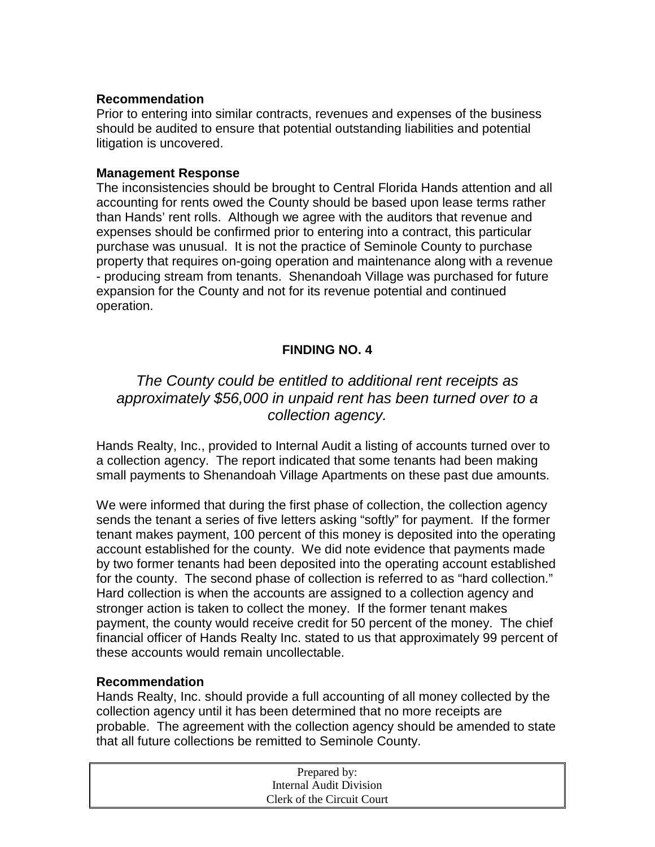#### **Recommendation**

Prior to entering into similar contracts, revenues and expenses of the business should be audited to ensure that potential outstanding liabilities and potential litigation is uncovered.

#### **Management Response**

The inconsistencies should be brought to Central Florida Hands attention and all accounting for rents owed the County should be based upon lease terms rather than Hands' rent rolls. Although we agree with the auditors that revenue and expenses should be confirmed prior to entering into a contract, this particular purchase was unusual. It is not the practice of Seminole County to purchase property that requires on-going operation and maintenance along with a revenue - producing stream from tenants. Shenandoah Village was purchased for future expansion for the County and not for its revenue potential and continued operation.

#### **FINDING NO. 4**

## *The County could be entitled to additional rent receipts as approximately \$56,000 in unpaid rent has been turned over to a collection agency.*

Hands Realty, Inc., provided to Internal Audit a listing of accounts turned over to a collection agency. The report indicated that some tenants had been making small payments to Shenandoah Village Apartments on these past due amounts.

We were informed that during the first phase of collection, the collection agency sends the tenant a series of five letters asking "softly" for payment. If the former tenant makes payment, 100 percent of this money is deposited into the operating account established for the county. We did note evidence that payments made by two former tenants had been deposited into the operating account established for the county. The second phase of collection is referred to as "hard collection." Hard collection is when the accounts are assigned to a collection agency and stronger action is taken to collect the money. If the former tenant makes payment, the county would receive credit for 50 percent of the money. The chief financial officer of Hands Realty Inc. stated to us that approximately 99 percent of these accounts would remain uncollectable.

#### **Recommendation**

Hands Realty, Inc. should provide a full accounting of all money collected by the collection agency until it has been determined that no more receipts are probable. The agreement with the collection agency should be amended to state that all future collections be remitted to Seminole County.

| Prepared by:               |  |
|----------------------------|--|
| Internal Audit Division    |  |
| Clerk of the Circuit Court |  |